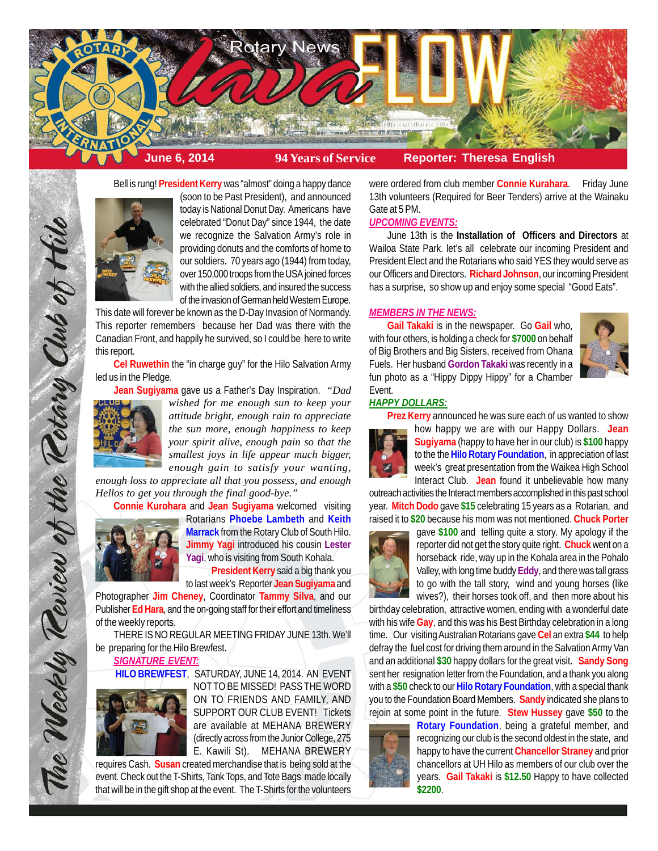

Bell is rung! **President Kerry** was "almost" doing a happy dance



(soon to be Past President), and announced today is National Donut Day. Americans have celebrated "Donut Day" since 1944, the date we recognize the Salvation Army's role in providing donuts and the comforts of home to our soldiers. 70 years ago (1944) from today, over 150,000 troops from the USA joined forces with the allied soldiers, and insured the success of the invasion of German held Western Europe.

This date will forever be known as the D-Day Invasion of Normandy. This reporter remembers because her Dad was there with the Canadian Front, and happily he survived, so I could be here to write this report.

**Cel Ruwethin** the "in charge guy" for the Hilo Salvation Army led us in the Pledge.

**Jean Sugiyama** gave us a Father's Day Inspiration. *"Dad*



The Weekly Teview of the Tetary Club of Hilo

*wished for me enough sun to keep your attitude bright, enough rain to appreciate the sun more, enough happiness to keep your spirit alive, enough pain so that the smallest joys in life appear much bigger, enough gain to satisfy your wanting,*

*enough loss to appreciate all that you possess, and enough Hellos to get you through the final good-bye."* **Connie Kurohara** and **Jean Sugiyama** welcomed visiting



Rotarians **Phoebe Lambeth** and **Keith Marrack** from the Rotary Club of South Hilo. **Jimmy Yagi** introduced his cousin **Lester Yagi**, who is visiting from South Kohala.

**President Kerry** said a big thank you to last week's Reporter **Jean Sugiyama** and

Photographer **Jim Cheney**, Coordinator **Tammy Silva**, and our Publisher **Ed Hara**, and the on-going staff for their effort and timeliness of the weekly reports.

THERE IS NO REGULAR MEETING FRIDAY JUNE 13th. We'll be preparing for the Hilo Brewfest.

*SIGNATURE EVENT:*



**HILO BREWFEST**, SATURDAY, JUNE 14, 2014. AN EVENT NOT TO BE MISSED! PASS THE WORD ON TO FRIENDS AND FAMILY, AND SUPPORT OUR CLUB EVENT! Tickets are available at MEHANA BREWERY (directly across from the Junior College, 275 E. Kawili St). MEHANA BREWERY

requires Cash. **Susan** created merchandise that is being sold at the event. Check out the T-Shirts, Tank Tops, and Tote Bags made locally that will be in the gift shop at the event. The T-Shirts for the volunteers

were ordered from club member **Connie Kurahara**. Friday June 13th volunteers (Required for Beer Tenders) arrive at the Wainaku Gate at 5 PM.

# *UPCOMING EVENTS:*

June 13th is the **Installation of Officers and Directors** at Wailoa State Park. let's all celebrate our incoming President and President Elect and the Rotarians who said YES they would serve as our Officers and Directors. **Richard Johnson**, our incoming President has a surprise, so show up and enjoy some special "Good Eats".

## *MEMBERS IN THE NEWS:*

**Gail Takaki** is in the newspaper. Go **Gail** who, with four others, is holding a check for **\$7000** on behalf of Big Brothers and Big Sisters, received from Ohana Fuels. Her husband **Gordon Takaki** was recently in a fun photo as a "Hippy Dippy Hippy" for a Chamber Event.



## *HAPPY DOLLARS:*

**Prez Kerry** announced he was sure each of us wanted to show



how happy we are with our Happy Dollars. **Jean Sugiyama** (happy to have her in our club) is **\$100** happy to the the **Hilo Rotary Foundation**, in appreciation of last week's great presentation from the Waikea High School Interact Club. **Jean** found it unbelievable how many

outreach activities the Interact members accomplished in this past school year. **Mitch Dodo** gave **\$15** celebrating 15 years as a Rotarian, and raised it to **\$20** because his mom was not mentioned. **Chuck Porter**



gave **\$100** and telling quite a story. My apology if the reporter did not get the story quite right. **Chuck** went on a horseback ride, way up in the Kohala area in the Pohalo Valley, with long time buddy **Eddy**, and there was tall grass to go with the tall story, wind and young horses (like wives?), their horses took off, and then more about his

birthday celebration, attractive women, ending with a wonderful date with his wife **Gay**, and this was his Best Birthday celebration in a long time. Our visiting Australian Rotarians gave **Cel** an extra **\$44** to help defray the fuel cost for driving them around in the Salvation Army Van and an additional **\$30** happy dollars for the great visit. **Sandy Song** sent her resignation letter from the Foundation, and a thank you along with a **\$50** check to our **Hilo Rotary Foundation**, with a special thank you to the Foundation Board Members. **Sandy** indicated she plans to rejoin at some point in the future. **Stew Hussey** gave **\$50** to the



**Rotary Foundation**, being a grateful member, and recognizing our club is the second oldest in the state, and happy to have the current **Chancellor Straney** and prior chancellors at UH Hilo as members of our club over the years. **Gail Takaki** is **\$12.50** Happy to have collected **\$2200**.